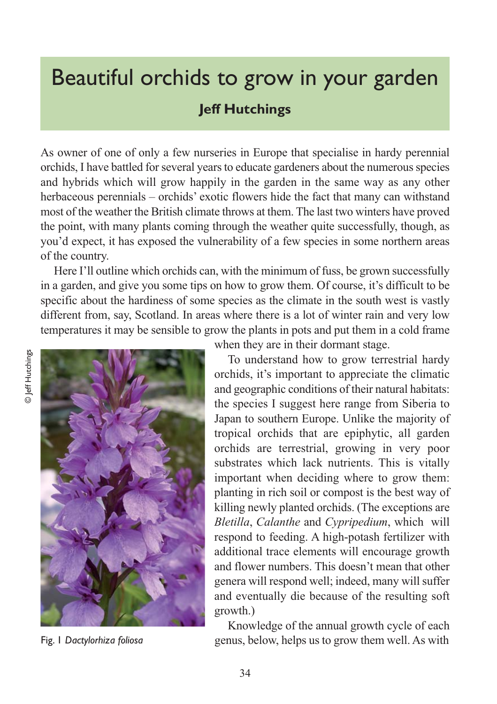## Beautiful orchids to grow in your garden **Jeff Hutchings**

As owner of one of only a few nurseries in Europe that specialise in hardy perennial orchids, I have battled for several years to educate gardeners about the numerous species and hybrids which will grow happily in the garden in the same way as any other herbaceous perennials – orchids' exotic flowers hide the fact that many can withstand most of the weather the British climate throws at them. The last two winters have proved the point, with many plants coming through the weather quite successfully, though, as you'd expect, it has exposed the vulnerability of a few species in some northern areas of the country.

Here I'll outline which orchids can, with the minimum of fuss, be grown successfully in a garden, and give you some tips on how to grow them. Of course, it's difficult to be specific about the hardiness of some species as the climate in the south west is vastly different from, say, Scotland. In areas where there is a lot of winter rain and very low temperatures it may be sensible to grow the plants in pots and put them in a cold frame



Fig. 1 *Dactylorhiza foliosa*

when they are in their dormant stage.

To understand how to grow terrestrial hardy orchids, it's important to appreciate the climatic and geographic conditions of their natural habitats: the species I suggest here range from Siberia to Japan to southern Europe. Unlike the majority of tropical orchids that are epiphytic, all garden orchids are terrestrial, growing in very poor substrates which lack nutrients. This is vitally important when deciding where to grow them: planting in rich soil or compost is the best way of killing newly planted orchids. (The exceptions are *Bletilla*, *Calanthe* and *Cypripedium*, which will respond to feeding. A high-potash fertilizer with additional trace elements will encourage growth and flower numbers. This doesn't mean that other genera will respond well; indeed, many will suffer and eventually die because of the resulting soft growth.)

Knowledge of the annual growth cycle of each genus, below, helps us to grow them well. As with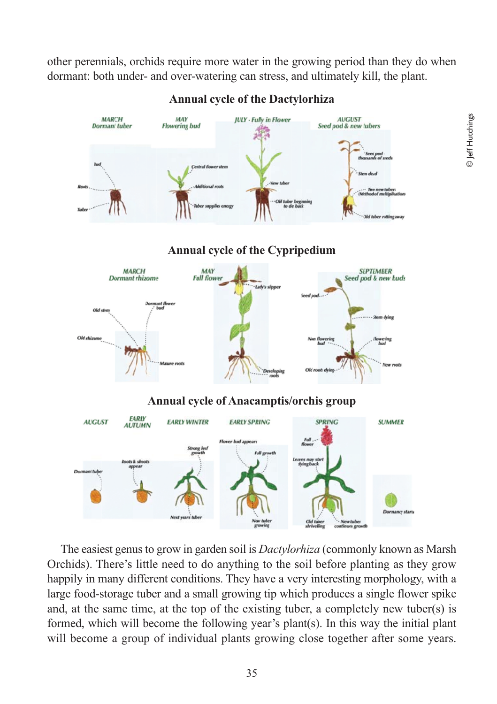other perennials, orchids require more water in the growing period than they do when dormant: both under- and over-watering can stress, and ultimately kill, the plant.



**Annual cycle of the Dactylorhiza**

The easiest genus to grow in garden soil is *Dactylorhiza* (commonly known as Marsh Orchids). There's little need to do anything to the soil before planting as they grow happily in many different conditions. They have a very interesting morphology, with a large food-storage tuber and a small growing tip which produces a single flower spike and, at the same time, at the top of the existing tuber, a completely new tuber(s) is formed, which will become the following year's plant(s). In this way the initial plant will become a group of individual plants growing close together after some years.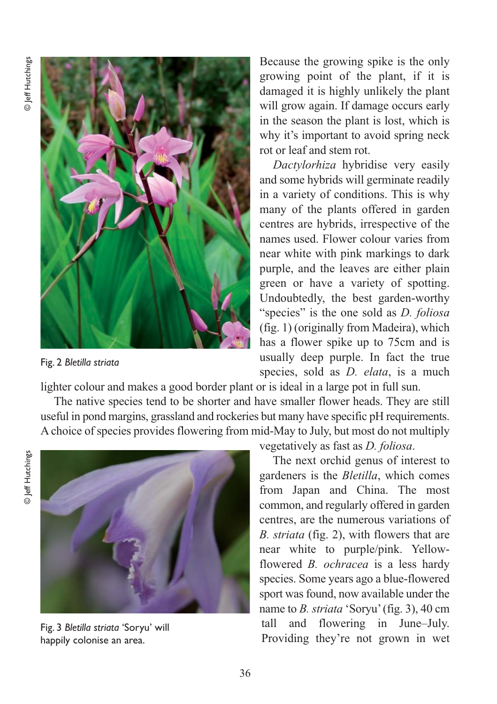

growing point of the plant, if it is damaged it is highly unlikely the plant will grow again. If damage occurs early in the season the plant is lost, which is why it's important to avoid spring neck rot or leaf and stem rot.

Because the growing spike is the only

*Dactylorhiza* hybridise very easily and some hybrids will germinate readily in a variety of conditions. This is why many of the plants offered in garden centres are hybrids, irrespective of the names used. Flower colour varies from near white with pink markings to dark purple, and the leaves are either plain green or have a variety of spotting. Undoubtedly, the best garden-worthy "species" is the one sold as *D. foliosa* (fig. 1) (originally from Madeira), which has a flower spike up to 75cm and is usually deep purple. In fact the true species, sold as *D. elata*, is a much

Fig. 2 *Bletilla striata*

lighter colour and makes a good border plant or is ideal in a large pot in full sun.

The native species tend to be shorter and have smaller flower heads. They are still useful in pond margins, grassland and rockeries but many have specific pH requirements. A choice of species provides flowering from mid-May to July, but most do not multiply





Fig. 3 *Bletilla striata* 'Soryu' will happily colonise an area.

vegetatively as fast as *D. foliosa*.

The next orchid genus of interest to gardeners is the *Bletilla*, which comes from Japan and China. The most common, and regularly offered in garden centres, are the numerous variations of *B. striata* (fig. 2), with flowers that are near white to purple/pink. Yellowflowered *B. ochracea* is a less hardy species. Some years ago a blue-flowered sport was found, now available under the name to *B. striata* 'Soryu' (fig. 3), 40 cm tall and flowering in June–July. Providing they're not grown in wet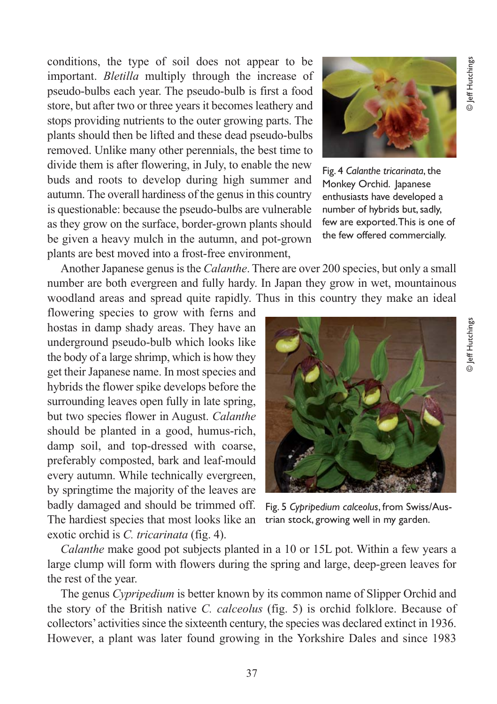**D** Jeff Hutchings © Jeff Hutchings

conditions, the type of soil does not appear to be important. *Bletilla* multiply through the increase of pseudo-bulbs each year. The pseudo-bulb is first a food store, but after two or three years it becomes leathery and stops providing nutrients to the outer growing parts. The plants should then be lifted and these dead pseudo-bulbs removed. Unlike many other perennials, the best time to divide them is after flowering, in July, to enable the new buds and roots to develop during high summer and autumn. The overall hardiness of the genus in this country is questionable: because the pseudo-bulbs are vulnerable as they grow on the surface, border-grown plants should be given a heavy mulch in the autumn, and pot-grown plants are best moved into a frost-free environment,

Another Japanese genus is the *Calanthe*. There are over 200 species, but only a small number are both evergreen and fully hardy. In Japan they grow in wet, mountainous woodland areas and spread quite rapidly. Thus in this country they make an ideal

flowering species to grow with ferns and hostas in damp shady areas. They have an underground pseudo-bulb which looks like the body of a large shrimp, which is how they get their Japanese name. In most species and hybrids the flower spike develops before the surrounding leaves open fully in late spring, but two species flower in August. *Calanthe* should be planted in a good, humus-rich, damp soil, and top-dressed with coarse, preferably composted, bark and leaf-mould every autumn. While technically evergreen, by springtime the majority of the leaves are badly damaged and should be trimmed off. The hardiest species that most looks like an exotic orchid is *C. tricarinata* (fig. 4).

Fig. 4 *Calanthe tricarinata*, the Monkey Orchid. Japanese enthusiasts have developed a number of hybrids but, sadly, few are exported. This is one of the few offered commercially.

Fig. 5 *Cypripedium calceolus*, from Swiss/Austrian stock, growing well in my garden.

*Calanthe* make good pot subjects planted in a 10 or 15L pot. Within a few years a large clump will form with flowers during the spring and large, deep-green leaves for the rest of the year.

The genus *Cypripedium* is better known by its common name of Slipper Orchid and the story of the British native *C. calceolus* (fig. 5) is orchid folklore. Because of collectors' activities since the sixteenth century, the species was declared extinct in 1936. However, a plant was later found growing in the Yorkshire Dales and since 1983



© Jeff Hutchings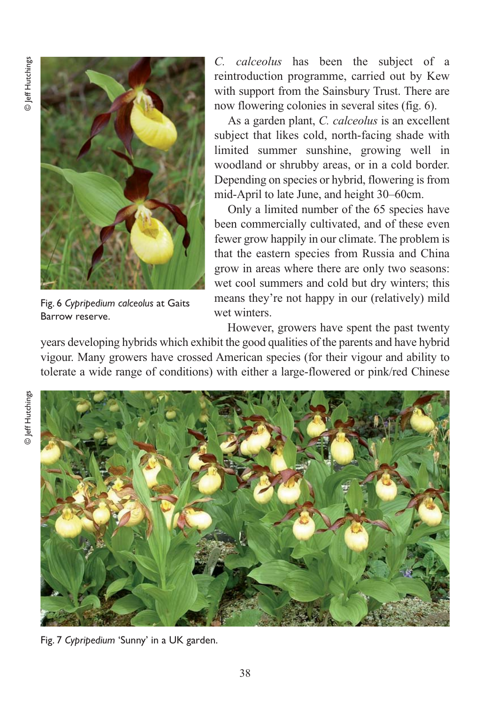

Fig. 6 *Cypripedium calceolus* at Gaits Barrow reserve.

*C. calceolus* has been the subject of a reintroduction programme, carried out by Kew with support from the Sainsbury Trust. There are now flowering colonies in several sites (fig. 6).

As a garden plant, *C. calceolus* is an excellent subject that likes cold, north-facing shade with limited summer sunshine, growing well in woodland or shrubby areas, or in a cold border. Depending on species or hybrid, flowering is from mid-April to late June, and height 30–60cm.

Only a limited number of the 65 species have been commercially cultivated, and of these even fewer grow happily in our climate. The problem is that the eastern species from Russia and China grow in areas where there are only two seasons: wet cool summers and cold but dry winters; this means they're not happy in our (relatively) mild wet winters.

However, growers have spent the past twenty years developing hybrids which exhibit the good qualities of the parents and have hybrid vigour. Many growers have crossed American species (for their vigour and ability to tolerate a wide range of conditions) with either a large-flowered or pink/red Chinese



Fig. 7 *Cypripedium* 'Sunny' in a UK garden.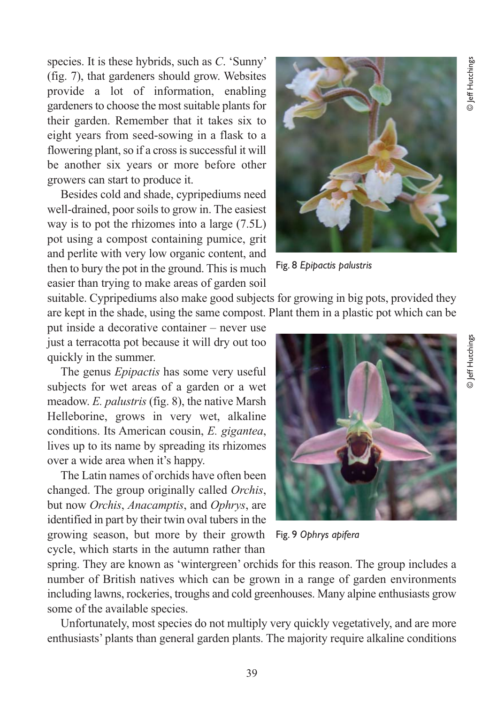species. It is these hybrids, such as *C*. 'Sunny' (fig. 7), that gardeners should grow. Websites provide a lot of information, enabling gardeners to choose the most suitable plants for their garden. Remember that it takes six to eight years from seed-sowing in a flask to a flowering plant, so if a cross is successful it will be another six years or more before other growers can start to produce it.

Besides cold and shade, cypripediums need well-drained, poor soils to grow in. The easiest way is to pot the rhizomes into a large (7.5L) pot using a compost containing pumice, grit and perlite with very low organic content, and then to bury the pot in the ground. This is much easier than trying to make areas of garden soil



Fig. 8 *Epipactis palustris*

suitable. Cypripediums also make good subjects for growing in big pots, provided they are kept in the shade, using the same compost. Plant them in a plastic pot which can be

put inside a decorative container – never use just a terracotta pot because it will dry out too quickly in the summer.

The genus *Epipactis* has some very useful subjects for wet areas of a garden or a wet meadow. *E. palustris* (fig. 8), the native Marsh Helleborine, grows in very wet, alkaline conditions. Its American cousin, *E. gigantea*, lives up to its name by spreading its rhizomes over a wide area when it's happy.

The Latin names of orchids have often been changed. The group originally called *Orchis*, but now *Orchis*, *Anacamptis*, and *Ophrys*, are identified in part by their twin oval tubers in the growing season, but more by their growth cycle, which starts in the autumn rather than



Fig. 9 *Ophrys apifera*

spring. They are known as 'wintergreen' orchids for this reason. The group includes a number of British natives which can be grown in a range of garden environments including lawns, rockeries, troughs and cold greenhouses. Many alpine enthusiasts grow some of the available species.

Unfortunately, most species do not multiply very quickly vegetatively, and are more enthusiasts' plants than general garden plants. The majority require alkaline conditions